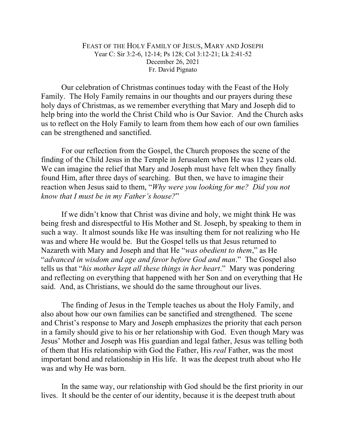## FEAST OF THE HOLY FAMILY OF JESUS, MARY AND JOSEPH Year C: Sir 3:2-6, 12-14; Ps 128; Col 3:12-21; Lk 2:41-52 December 26, 2021 Fr. David Pignato

Our celebration of Christmas continues today with the Feast of the Holy Family. The Holy Family remains in our thoughts and our prayers during these holy days of Christmas, as we remember everything that Mary and Joseph did to help bring into the world the Christ Child who is Our Savior. And the Church asks us to reflect on the Holy Family to learn from them how each of our own families can be strengthened and sanctified.

For our reflection from the Gospel, the Church proposes the scene of the finding of the Child Jesus in the Temple in Jerusalem when He was 12 years old. We can imagine the relief that Mary and Joseph must have felt when they finally found Him, after three days of searching. But then, we have to imagine their reaction when Jesus said to them, "*Why were you looking for me? Did you not know that I must be in my Father's house?*"

If we didn't know that Christ was divine and holy, we might think He was being fresh and disrespectful to His Mother and St. Joseph, by speaking to them in such a way. It almost sounds like He was insulting them for not realizing who He was and where He would be. But the Gospel tells us that Jesus returned to Nazareth with Mary and Joseph and that He "*was obedient to them*," as He "*advanced in wisdom and age and favor before God and man*." The Gospel also tells us that "*his mother kept all these things in her heart*." Mary was pondering and reflecting on everything that happened with her Son and on everything that He said. And, as Christians, we should do the same throughout our lives.

The finding of Jesus in the Temple teaches us about the Holy Family, and also about how our own families can be sanctified and strengthened. The scene and Christ's response to Mary and Joseph emphasizes the priority that each person in a family should give to his or her relationship with God. Even though Mary was Jesus' Mother and Joseph was His guardian and legal father, Jesus was telling both of them that His relationship with God the Father, His *real* Father, was the most important bond and relationship in His life. It was the deepest truth about who He was and why He was born.

In the same way, our relationship with God should be the first priority in our lives. It should be the center of our identity, because it is the deepest truth about